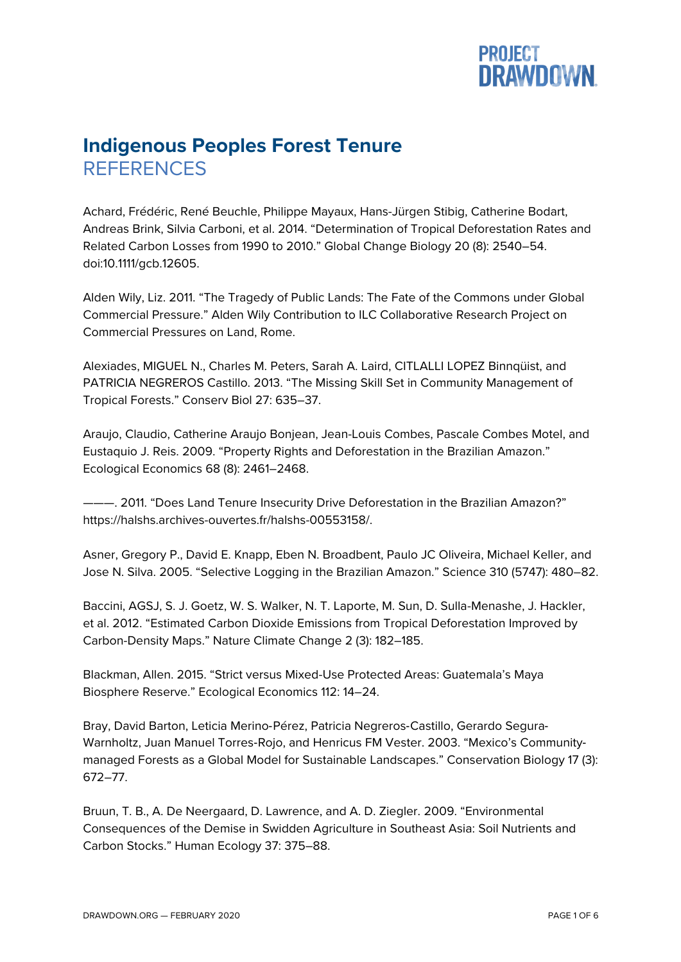## **PROJECT<br>DRAWDOWN.**

## **Indigenous Peoples Forest Tenure REFERENCES**

Achard, Frédéric, René Beuchle, Philippe Mayaux, Hans-Jürgen Stibig, Catherine Bodart, Andreas Brink, Silvia Carboni, et al. 2014. "Determination of Tropical Deforestation Rates and Related Carbon Losses from 1990 to 2010." Global Change Biology 20 (8): 2540–54. doi:10.1111/gcb.12605.

Alden Wily, Liz. 2011. "The Tragedy of Public Lands: The Fate of the Commons under Global Commercial Pressure." Alden Wily Contribution to ILC Collaborative Research Project on Commercial Pressures on Land, Rome.

Alexiades, MIGUEL N., Charles M. Peters, Sarah A. Laird, CITLALLI LOPEZ Binnqüist, and PATRICIA NEGREROS Castillo. 2013. "The Missing Skill Set in Community Management of Tropical Forests." Conserv Biol 27: 635–37.

Araujo, Claudio, Catherine Araujo Bonjean, Jean-Louis Combes, Pascale Combes Motel, and Eustaquio J. Reis. 2009. "Property Rights and Deforestation in the Brazilian Amazon." Ecological Economics 68 (8): 2461–2468.

———. 2011. "Does Land Tenure Insecurity Drive Deforestation in the Brazilian Amazon?" https://halshs.archives-ouvertes.fr/halshs-00553158/.

Asner, Gregory P., David E. Knapp, Eben N. Broadbent, Paulo JC Oliveira, Michael Keller, and Jose N. Silva. 2005. "Selective Logging in the Brazilian Amazon." Science 310 (5747): 480–82.

Baccini, AGSJ, S. J. Goetz, W. S. Walker, N. T. Laporte, M. Sun, D. Sulla-Menashe, J. Hackler, et al. 2012. "Estimated Carbon Dioxide Emissions from Tropical Deforestation Improved by Carbon-Density Maps." Nature Climate Change 2 (3): 182–185.

Blackman, Allen. 2015. "Strict versus Mixed-Use Protected Areas: Guatemala's Maya Biosphere Reserve." Ecological Economics 112: 14–24.

Bray, David Barton, Leticia Merino-Pérez, Patricia Negreros-Castillo, Gerardo Segura-Warnholtz, Juan Manuel Torres-Rojo, and Henricus FM Vester. 2003. "Mexico's Communitymanaged Forests as a Global Model for Sustainable Landscapes." Conservation Biology 17 (3): 672–77.

Bruun, T. B., A. De Neergaard, D. Lawrence, and A. D. Ziegler. 2009. "Environmental Consequences of the Demise in Swidden Agriculture in Southeast Asia: Soil Nutrients and Carbon Stocks." Human Ecology 37: 375–88.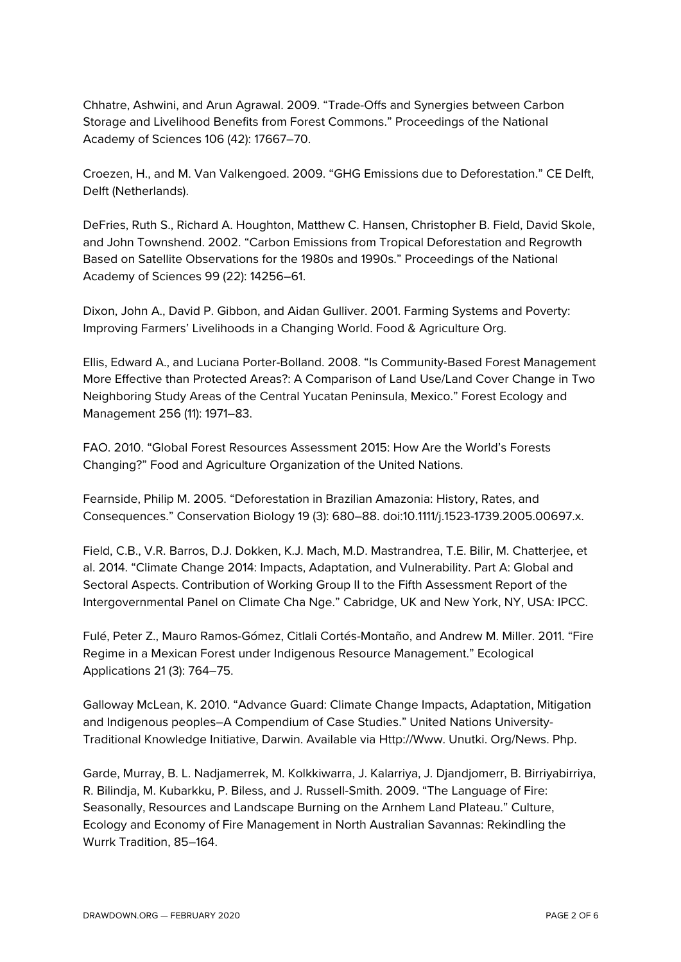Chhatre, Ashwini, and Arun Agrawal. 2009. "Trade-Offs and Synergies between Carbon Storage and Livelihood Benefits from Forest Commons." Proceedings of the National Academy of Sciences 106 (42): 17667–70.

Croezen, H., and M. Van Valkengoed. 2009. "GHG Emissions due to Deforestation." CE Delft, Delft (Netherlands).

DeFries, Ruth S., Richard A. Houghton, Matthew C. Hansen, Christopher B. Field, David Skole, and John Townshend. 2002. "Carbon Emissions from Tropical Deforestation and Regrowth Based on Satellite Observations for the 1980s and 1990s." Proceedings of the National Academy of Sciences 99 (22): 14256–61.

Dixon, John A., David P. Gibbon, and Aidan Gulliver. 2001. Farming Systems and Poverty: Improving Farmers' Livelihoods in a Changing World. Food & Agriculture Org.

Ellis, Edward A., and Luciana Porter-Bolland. 2008. "Is Community-Based Forest Management More Effective than Protected Areas?: A Comparison of Land Use/Land Cover Change in Two Neighboring Study Areas of the Central Yucatan Peninsula, Mexico." Forest Ecology and Management 256 (11): 1971–83.

FAO. 2010. "Global Forest Resources Assessment 2015: How Are the World's Forests Changing?" Food and Agriculture Organization of the United Nations.

Fearnside, Philip M. 2005. "Deforestation in Brazilian Amazonia: History, Rates, and Consequences." Conservation Biology 19 (3): 680–88. doi:10.1111/j.1523-1739.2005.00697.x.

Field, C.B., V.R. Barros, D.J. Dokken, K.J. Mach, M.D. Mastrandrea, T.E. Bilir, M. Chatterjee, et al. 2014. "Climate Change 2014: Impacts, Adaptation, and Vulnerability. Part A: Global and Sectoral Aspects. Contribution of Working Group II to the Fifth Assessment Report of the Intergovernmental Panel on Climate Cha Nge." Cabridge, UK and New York, NY, USA: IPCC.

Fulé, Peter Z., Mauro Ramos-Gómez, Citlali Cortés-Montaño, and Andrew M. Miller. 2011. "Fire Regime in a Mexican Forest under Indigenous Resource Management." Ecological Applications 21 (3): 764–75.

Galloway McLean, K. 2010. "Advance Guard: Climate Change Impacts, Adaptation, Mitigation and Indigenous peoples–A Compendium of Case Studies." United Nations University-Traditional Knowledge Initiative, Darwin. Available via Http://Www. Unutki. Org/News. Php.

Garde, Murray, B. L. Nadjamerrek, M. Kolkkiwarra, J. Kalarriya, J. Djandjomerr, B. Birriyabirriya, R. Bilindja, M. Kubarkku, P. Biless, and J. Russell-Smith. 2009. "The Language of Fire: Seasonally, Resources and Landscape Burning on the Arnhem Land Plateau." Culture, Ecology and Economy of Fire Management in North Australian Savannas: Rekindling the Wurrk Tradition, 85–164.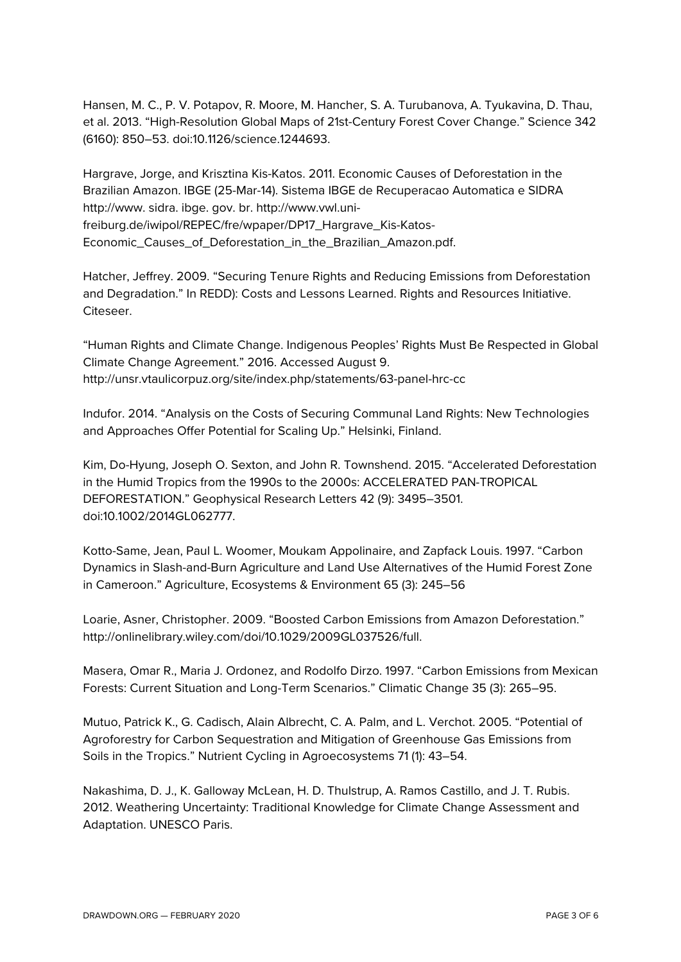Hansen, M. C., P. V. Potapov, R. Moore, M. Hancher, S. A. Turubanova, A. Tyukavina, D. Thau, et al. 2013. "High-Resolution Global Maps of 21st-Century Forest Cover Change." Science 342 (6160): 850–53. doi:10.1126/science.1244693.

Hargrave, Jorge, and Krisztina Kis-Katos. 2011. Economic Causes of Deforestation in the Brazilian Amazon. IBGE (25-Mar-14). Sistema IBGE de Recuperacao Automatica e SIDRA http://www. sidra. ibge. gov. br. http://www.vwl.unifreiburg.de/iwipol/REPEC/fre/wpaper/DP17\_Hargrave\_Kis-Katos-Economic\_Causes\_of\_Deforestation\_in\_the\_Brazilian\_Amazon.pdf.

Hatcher, Jeffrey. 2009. "Securing Tenure Rights and Reducing Emissions from Deforestation and Degradation." In REDD): Costs and Lessons Learned. Rights and Resources Initiative. Citeseer.

"Human Rights and Climate Change. Indigenous Peoples' Rights Must Be Respected in Global Climate Change Agreement." 2016. Accessed August 9. http://unsr.vtaulicorpuz.org/site/index.php/statements/63-panel-hrc-cc

Indufor. 2014. "Analysis on the Costs of Securing Communal Land Rights: New Technologies and Approaches Offer Potential for Scaling Up." Helsinki, Finland.

Kim, Do-Hyung, Joseph O. Sexton, and John R. Townshend. 2015. "Accelerated Deforestation in the Humid Tropics from the 1990s to the 2000s: ACCELERATED PAN-TROPICAL DEFORESTATION." Geophysical Research Letters 42 (9): 3495–3501. doi:10.1002/2014GL062777.

Kotto-Same, Jean, Paul L. Woomer, Moukam Appolinaire, and Zapfack Louis. 1997. "Carbon Dynamics in Slash-and-Burn Agriculture and Land Use Alternatives of the Humid Forest Zone in Cameroon." Agriculture, Ecosystems & Environment 65 (3): 245–56

Loarie, Asner, Christopher. 2009. "Boosted Carbon Emissions from Amazon Deforestation." http://onlinelibrary.wiley.com/doi/10.1029/2009GL037526/full.

Masera, Omar R., Maria J. Ordonez, and Rodolfo Dirzo. 1997. "Carbon Emissions from Mexican Forests: Current Situation and Long-Term Scenarios." Climatic Change 35 (3): 265–95.

Mutuo, Patrick K., G. Cadisch, Alain Albrecht, C. A. Palm, and L. Verchot. 2005. "Potential of Agroforestry for Carbon Sequestration and Mitigation of Greenhouse Gas Emissions from Soils in the Tropics." Nutrient Cycling in Agroecosystems 71 (1): 43–54.

Nakashima, D. J., K. Galloway McLean, H. D. Thulstrup, A. Ramos Castillo, and J. T. Rubis. 2012. Weathering Uncertainty: Traditional Knowledge for Climate Change Assessment and Adaptation. UNESCO Paris.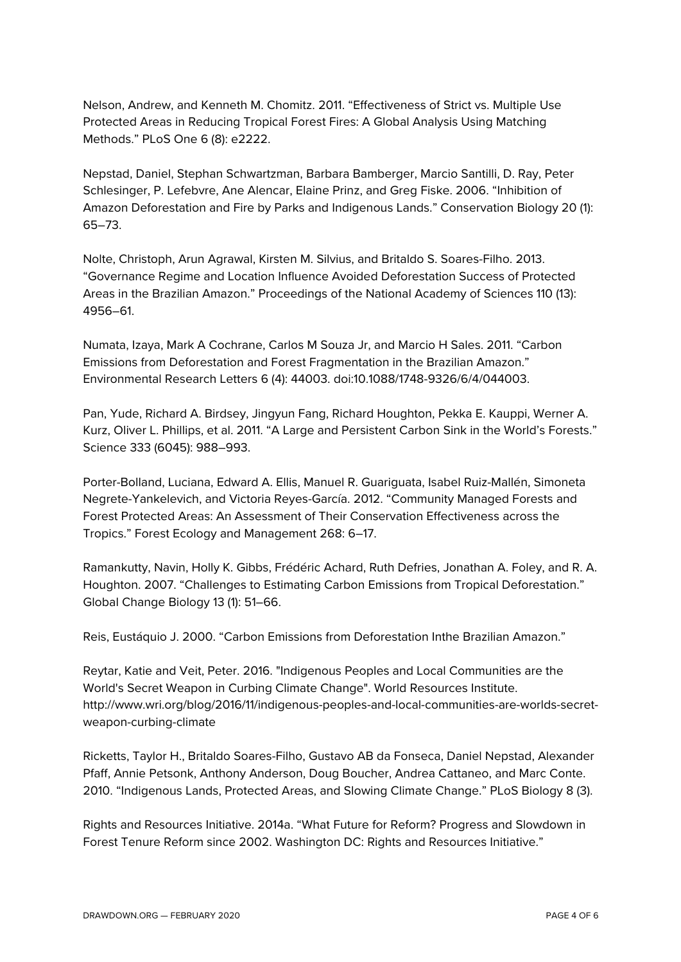Nelson, Andrew, and Kenneth M. Chomitz. 2011. "Effectiveness of Strict vs. Multiple Use Protected Areas in Reducing Tropical Forest Fires: A Global Analysis Using Matching Methods." PLoS One 6 (8): e2222.

Nepstad, Daniel, Stephan Schwartzman, Barbara Bamberger, Marcio Santilli, D. Ray, Peter Schlesinger, P. Lefebvre, Ane Alencar, Elaine Prinz, and Greg Fiske. 2006. "Inhibition of Amazon Deforestation and Fire by Parks and Indigenous Lands." Conservation Biology 20 (1): 65–73.

Nolte, Christoph, Arun Agrawal, Kirsten M. Silvius, and Britaldo S. Soares-Filho. 2013. "Governance Regime and Location Influence Avoided Deforestation Success of Protected Areas in the Brazilian Amazon." Proceedings of the National Academy of Sciences 110 (13): 4956–61.

Numata, Izaya, Mark A Cochrane, Carlos M Souza Jr, and Marcio H Sales. 2011. "Carbon Emissions from Deforestation and Forest Fragmentation in the Brazilian Amazon." Environmental Research Letters 6 (4): 44003. doi:10.1088/1748-9326/6/4/044003.

Pan, Yude, Richard A. Birdsey, Jingyun Fang, Richard Houghton, Pekka E. Kauppi, Werner A. Kurz, Oliver L. Phillips, et al. 2011. "A Large and Persistent Carbon Sink in the World's Forests." Science 333 (6045): 988–993.

Porter-Bolland, Luciana, Edward A. Ellis, Manuel R. Guariguata, Isabel Ruiz-Mallén, Simoneta Negrete-Yankelevich, and Victoria Reyes-García. 2012. "Community Managed Forests and Forest Protected Areas: An Assessment of Their Conservation Effectiveness across the Tropics." Forest Ecology and Management 268: 6–17.

Ramankutty, Navin, Holly K. Gibbs, Frédéric Achard, Ruth Defries, Jonathan A. Foley, and R. A. Houghton. 2007. "Challenges to Estimating Carbon Emissions from Tropical Deforestation." Global Change Biology 13 (1): 51–66.

Reis, Eustáquio J. 2000. "Carbon Emissions from Deforestation Inthe Brazilian Amazon."

Reytar, Katie and Veit, Peter. 2016. "Indigenous Peoples and Local Communities are the World's Secret Weapon in Curbing Climate Change". World Resources Institute. http://www.wri.org/blog/2016/11/indigenous-peoples-and-local-communities-are-worlds-secretweapon-curbing-climate

Ricketts, Taylor H., Britaldo Soares-Filho, Gustavo AB da Fonseca, Daniel Nepstad, Alexander Pfaff, Annie Petsonk, Anthony Anderson, Doug Boucher, Andrea Cattaneo, and Marc Conte. 2010. "Indigenous Lands, Protected Areas, and Slowing Climate Change." PLoS Biology 8 (3).

Rights and Resources Initiative. 2014a. "What Future for Reform? Progress and Slowdown in Forest Tenure Reform since 2002. Washington DC: Rights and Resources Initiative."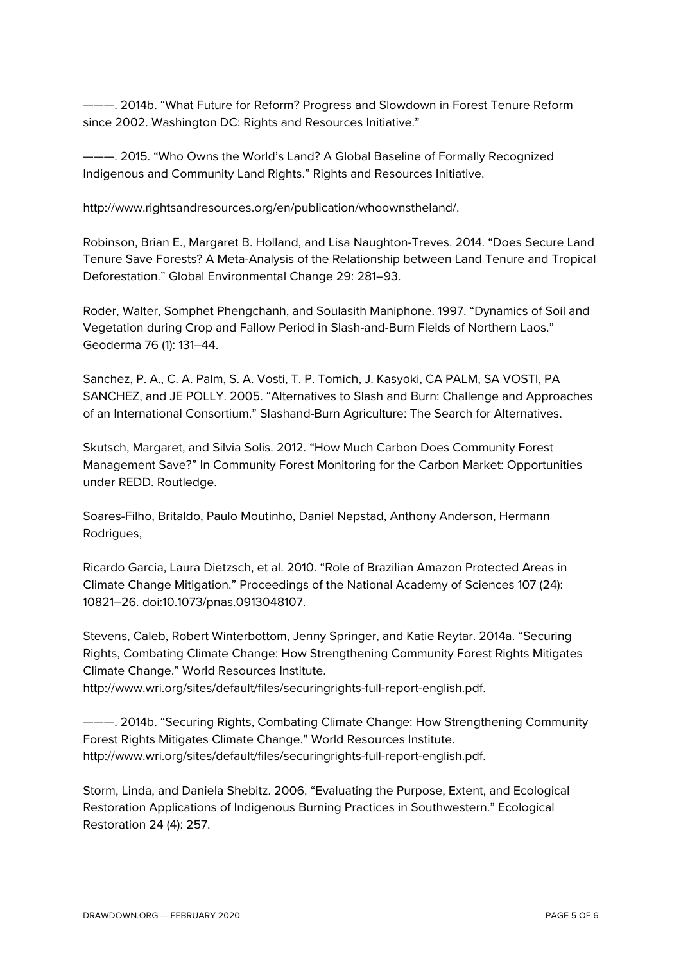———. 2014b. "What Future for Reform? Progress and Slowdown in Forest Tenure Reform since 2002. Washington DC: Rights and Resources Initiative."

———. 2015. "Who Owns the World's Land? A Global Baseline of Formally Recognized Indigenous and Community Land Rights." Rights and Resources Initiative.

http://www.rightsandresources.org/en/publication/whoownstheland/.

Robinson, Brian E., Margaret B. Holland, and Lisa Naughton-Treves. 2014. "Does Secure Land Tenure Save Forests? A Meta-Analysis of the Relationship between Land Tenure and Tropical Deforestation." Global Environmental Change 29: 281–93.

Roder, Walter, Somphet Phengchanh, and Soulasith Maniphone. 1997. "Dynamics of Soil and Vegetation during Crop and Fallow Period in Slash-and-Burn Fields of Northern Laos." Geoderma 76 (1): 131–44.

Sanchez, P. A., C. A. Palm, S. A. Vosti, T. P. Tomich, J. Kasyoki, CA PALM, SA VOSTI, PA SANCHEZ, and JE POLLY. 2005. "Alternatives to Slash and Burn: Challenge and Approaches of an International Consortium." Slashand-Burn Agriculture: The Search for Alternatives.

Skutsch, Margaret, and Silvia Solis. 2012. "How Much Carbon Does Community Forest Management Save?" In Community Forest Monitoring for the Carbon Market: Opportunities under REDD. Routledge.

Soares-Filho, Britaldo, Paulo Moutinho, Daniel Nepstad, Anthony Anderson, Hermann Rodrigues,

Ricardo Garcia, Laura Dietzsch, et al. 2010. "Role of Brazilian Amazon Protected Areas in Climate Change Mitigation." Proceedings of the National Academy of Sciences 107 (24): 10821–26. doi:10.1073/pnas.0913048107.

Stevens, Caleb, Robert Winterbottom, Jenny Springer, and Katie Reytar. 2014a. "Securing Rights, Combating Climate Change: How Strengthening Community Forest Rights Mitigates Climate Change." World Resources Institute.

http://www.wri.org/sites/default/files/securingrights-full-report-english.pdf.

———. 2014b. "Securing Rights, Combating Climate Change: How Strengthening Community Forest Rights Mitigates Climate Change." World Resources Institute. http://www.wri.org/sites/default/files/securingrights-full-report-english.pdf.

Storm, Linda, and Daniela Shebitz. 2006. "Evaluating the Purpose, Extent, and Ecological Restoration Applications of Indigenous Burning Practices in Southwestern." Ecological Restoration 24 (4): 257.